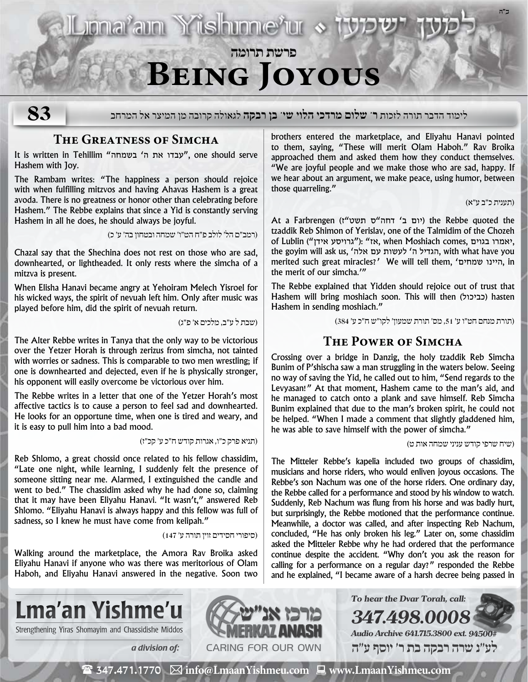- Lionarain Yishinneru &

**פרשת תרומה Being Joyous**

**83**

לימוד הדבר תורה לזכות **ר' שלום מרדכי הלוי שי' בן רבקה** לגאולה קרובה מן המיצר אל המרחב

## **The Greatness of Simcha**

It is written in Tehillim "עבדו את ה' בשמחה" (סוג, one should serve Hashem with Joy.

The Rambam writes: "The happiness a person should rejoice with when fulfilling mitzvos and having Ahavas Hashem is a great avoda. There is no greatness or honor other than celebrating before Hashem." The Rebbe explains that since a Yid is constantly serving Hashem in all he does, he should always be joyful.

)רמב״ם הל׳ לולב פ״ח הט״ו׳ שמחה ובטחון בה׳ ע׳ כ(

Chazal say that the Shechina does not rest on those who are sad, downhearted, or lightheaded. It only rests where the simcha of a mitzva is present.

When Elisha Hanavi became angry at Yehoiram Melech Yisroel for his wicked ways, the spirit of nevuah left him. Only after music was played before him, did the spirit of nevuah return.

)שבת ל ע״ב, מלכים א׳ פ״ג(

The Alter Rebbe writes in Tanya that the only way to be victorious over the Yetzer Horah is through zerizus from simcha, not tainted with worries or sadness. This is comparable to two men wrestling; if one is downhearted and dejected, even if he is physically stronger, his opponent will easily overcome be victorious over him.

The Rebbe writes in a letter that one of the Yetzer Horah's most affective tactics is to cause a person to feel sad and downhearted. He looks for an opportune time, when one is tired and weary, and it is easy to pull him into a bad mood.

)תניא פרק כ״ו, אגרות קודש ח״כ ע׳ קכ״ז(

Reb Shlomo, a great chossid once related to his fellow chassidim, "Late one night, while learning, I suddenly felt the presence of someone sitting near me. Alarmed, I extinguished the candle and went to bed." The chassidim asked why he had done so, claiming that it may have been Eliyahu Hanavi. "It wasn't," answered Reb Shlomo. "Eliyahu Hanavi is always happy and this fellow was full of sadness, so I knew he must have come from kelipah."

)סיפורי חסידים זוין תורה ע׳ 147(

Walking around the marketplace, the Amora Rav Broika asked Eliyahu Hanavi if anyone who was there was meritorious of Olam Haboh, and Eliyahu Hanavi answered in the negative. Soon two brothers entered the marketplace, and Eliyahu Hanavi pointed to them, saying, "These will merit Olam Haboh." Rav Broika approached them and asked them how they conduct themselves. "We are joyful people and we make those who are sad, happy. If we hear about an argument, we make peace, using humor, between those quarreling."

)תענית כ״ב ע״א(

**ב"ה**

At a Farbrengen (יום ב' דחה"ס תשט"ז) the Rebbe quoted the tzaddik Reb Shimon of Yerislav, one of the Talmidim of the Chozeh of Lublin ("גרויסע אידן"): "אמרו בגוים, when Moshiach comes, אאמרו בגוים, the goyim will ask us, 'הגדיל ה' לעשות עם אלה, with what have you merited such great miracles?' We will tell them, 'שמחים היינו, in the merit of our simcha.'"

The Rebbe explained that Yidden should rejoice out of trust that Hashem will bring moshiach soon. This will then (כביכול) hasten Hashem in sending moshiach."

)תורת מנחם חט״ו ע׳ ,51 מס׳ תורת שמעון׳ לקו״ש ח״כ ע׳ 384(

## **The Power of Simcha**

Crossing over a bridge in Danzig, the holy tzaddik Reb Simcha Bunim of P'shischa saw a man struggling in the waters below. Seeing no way of saving the Yid, he called out to him, "Send regards to the Levyasan!" At that moment, Hashem came to the man's aid, and he managed to catch onto a plank and save himself. Reb Simcha Bunim explained that due to the man's broken spirit, he could not be helped. "When I made a comment that slightly gladdened him, he was able to save himself with the power of simcha."

)שיח שרפי קודש עניני שמחה אות ט(

The Mitteler Rebbe's kapelia included two groups of chassidim, musicians and horse riders, who would enliven joyous occasions. The Rebbe's son Nachum was one of the horse riders. One ordinary day, the Rebbe called for a performance and stood by his window to watch. Suddenly, Reb Nachum was flung from his horse and was badly hurt, but surprisingly, the Rebbe motioned that the performance continue. Meanwhile, a doctor was called, and after inspecting Reb Nachum, concluded, "He has only broken his leg." Later on, some chassidim asked the Mitteler Rebbe why he had ordered that the performance continue despite the accident. "Why don't you ask the reason for calling for a performance on a regular day?" responded the Rebbe and he explained, "I became aware of a harsh decree being passed in

**To hear the Dvar Torah, call:**

**Audio Archive 641.715.3800 ext. 94500# לע"נ שרה רבקה בת ר׳ יוסף ע"ה**

**347.498.0008**



Strengthening Yiras Shomayim and Chassidishe Middos **NAMERKAY ANASH** 



 $\mathbf{\hat{z}}$  347.471.1770  $\boxtimes$  info@LmaanYishmeu.com  $\boxplus$  www.LmaanYishmeu.com